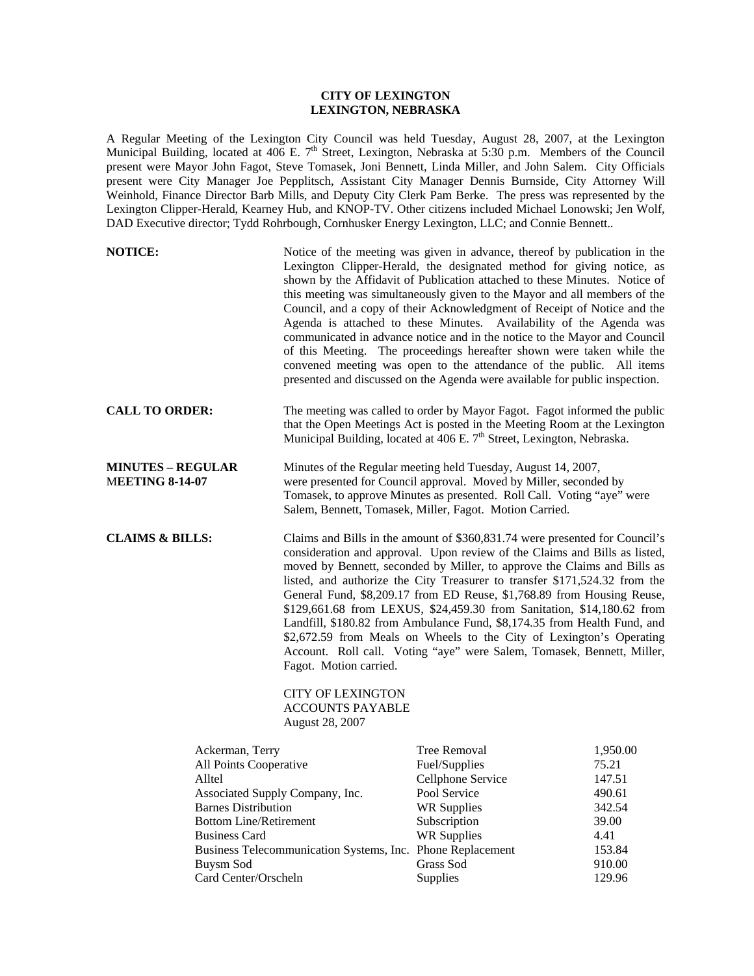## **CITY OF LEXINGTON LEXINGTON, NEBRASKA**

A Regular Meeting of the Lexington City Council was held Tuesday, August 28, 2007, at the Lexington Municipal Building, located at 406 E. 7<sup>th</sup> Street, Lexington, Nebraska at 5:30 p.m. Members of the Council present were Mayor John Fagot, Steve Tomasek, Joni Bennett, Linda Miller, and John Salem. City Officials present were City Manager Joe Pepplitsch, Assistant City Manager Dennis Burnside, City Attorney Will Weinhold, Finance Director Barb Mills, and Deputy City Clerk Pam Berke. The press was represented by the Lexington Clipper-Herald, Kearney Hub, and KNOP-TV. Other citizens included Michael Lonowski; Jen Wolf, DAD Executive director; Tydd Rohrbough, Cornhusker Energy Lexington, LLC; and Connie Bennett..

| <b>NOTICE:</b>                                                |                                                                                                                                                                                                                                                                                                                                                                                                                                                                                                                                                                                                                                                                                                                                                                                                           | Notice of the meeting was given in advance, thereof by publication in the<br>Lexington Clipper-Herald, the designated method for giving notice, as<br>shown by the Affidavit of Publication attached to these Minutes. Notice of<br>this meeting was simultaneously given to the Mayor and all members of the<br>Council, and a copy of their Acknowledgment of Receipt of Notice and the<br>Agenda is attached to these Minutes. Availability of the Agenda was<br>communicated in advance notice and in the notice to the Mayor and Council<br>of this Meeting. The proceedings hereafter shown were taken while the<br>convened meeting was open to the attendance of the public. All items<br>presented and discussed on the Agenda were available for public inspection. |                  |
|---------------------------------------------------------------|-----------------------------------------------------------------------------------------------------------------------------------------------------------------------------------------------------------------------------------------------------------------------------------------------------------------------------------------------------------------------------------------------------------------------------------------------------------------------------------------------------------------------------------------------------------------------------------------------------------------------------------------------------------------------------------------------------------------------------------------------------------------------------------------------------------|-------------------------------------------------------------------------------------------------------------------------------------------------------------------------------------------------------------------------------------------------------------------------------------------------------------------------------------------------------------------------------------------------------------------------------------------------------------------------------------------------------------------------------------------------------------------------------------------------------------------------------------------------------------------------------------------------------------------------------------------------------------------------------|------------------|
| <b>CALL TO ORDER:</b>                                         |                                                                                                                                                                                                                                                                                                                                                                                                                                                                                                                                                                                                                                                                                                                                                                                                           | The meeting was called to order by Mayor Fagot. Fagot informed the public<br>that the Open Meetings Act is posted in the Meeting Room at the Lexington<br>Municipal Building, located at 406 E. 7 <sup>th</sup> Street, Lexington, Nebraska.                                                                                                                                                                                                                                                                                                                                                                                                                                                                                                                                  |                  |
| <b>MINUTES - REGULAR</b><br><b>MEETING 8-14-07</b>            |                                                                                                                                                                                                                                                                                                                                                                                                                                                                                                                                                                                                                                                                                                                                                                                                           | Minutes of the Regular meeting held Tuesday, August 14, 2007,<br>were presented for Council approval. Moved by Miller, seconded by<br>Tomasek, to approve Minutes as presented. Roll Call. Voting "aye" were<br>Salem, Bennett, Tomasek, Miller, Fagot. Motion Carried.                                                                                                                                                                                                                                                                                                                                                                                                                                                                                                       |                  |
| <b>CLAIMS &amp; BILLS:</b>                                    | Claims and Bills in the amount of \$360,831.74 were presented for Council's<br>consideration and approval. Upon review of the Claims and Bills as listed,<br>moved by Bennett, seconded by Miller, to approve the Claims and Bills as<br>listed, and authorize the City Treasurer to transfer \$171,524.32 from the<br>General Fund, \$8,209.17 from ED Reuse, \$1,768.89 from Housing Reuse,<br>\$129,661.68 from LEXUS, \$24,459.30 from Sanitation, \$14,180.62 from<br>Landfill, \$180.82 from Ambulance Fund, \$8,174.35 from Health Fund, and<br>\$2,672.59 from Meals on Wheels to the City of Lexington's Operating<br>Account. Roll call. Voting "aye" were Salem, Tomasek, Bennett, Miller,<br>Fagot. Motion carried.<br><b>CITY OF LEXINGTON</b><br><b>ACCOUNTS PAYABLE</b><br>August 28, 2007 |                                                                                                                                                                                                                                                                                                                                                                                                                                                                                                                                                                                                                                                                                                                                                                               |                  |
| Ackerman, Terry                                               |                                                                                                                                                                                                                                                                                                                                                                                                                                                                                                                                                                                                                                                                                                                                                                                                           | <b>Tree Removal</b>                                                                                                                                                                                                                                                                                                                                                                                                                                                                                                                                                                                                                                                                                                                                                           | 1,950.00         |
| All Points Cooperative                                        |                                                                                                                                                                                                                                                                                                                                                                                                                                                                                                                                                                                                                                                                                                                                                                                                           | Fuel/Supplies<br>Cellphone Service                                                                                                                                                                                                                                                                                                                                                                                                                                                                                                                                                                                                                                                                                                                                            | 75.21            |
| Alltel                                                        |                                                                                                                                                                                                                                                                                                                                                                                                                                                                                                                                                                                                                                                                                                                                                                                                           | Pool Service                                                                                                                                                                                                                                                                                                                                                                                                                                                                                                                                                                                                                                                                                                                                                                  | 147.51<br>490.61 |
| Associated Supply Company, Inc.<br><b>Barnes Distribution</b> |                                                                                                                                                                                                                                                                                                                                                                                                                                                                                                                                                                                                                                                                                                                                                                                                           | <b>WR Supplies</b>                                                                                                                                                                                                                                                                                                                                                                                                                                                                                                                                                                                                                                                                                                                                                            | 342.54           |
| <b>Bottom Line/Retirement</b>                                 |                                                                                                                                                                                                                                                                                                                                                                                                                                                                                                                                                                                                                                                                                                                                                                                                           | Subscription                                                                                                                                                                                                                                                                                                                                                                                                                                                                                                                                                                                                                                                                                                                                                                  | 39.00            |
| <b>Business Card</b>                                          |                                                                                                                                                                                                                                                                                                                                                                                                                                                                                                                                                                                                                                                                                                                                                                                                           | <b>WR Supplies</b>                                                                                                                                                                                                                                                                                                                                                                                                                                                                                                                                                                                                                                                                                                                                                            | 4.41             |
| Business Telecommunication Systems, Inc. Phone Replacement    |                                                                                                                                                                                                                                                                                                                                                                                                                                                                                                                                                                                                                                                                                                                                                                                                           |                                                                                                                                                                                                                                                                                                                                                                                                                                                                                                                                                                                                                                                                                                                                                                               | 153.84           |
| Buysm Sod                                                     |                                                                                                                                                                                                                                                                                                                                                                                                                                                                                                                                                                                                                                                                                                                                                                                                           | Grass Sod                                                                                                                                                                                                                                                                                                                                                                                                                                                                                                                                                                                                                                                                                                                                                                     | 910.00           |
| Card Center/Orscheln                                          |                                                                                                                                                                                                                                                                                                                                                                                                                                                                                                                                                                                                                                                                                                                                                                                                           | Supplies                                                                                                                                                                                                                                                                                                                                                                                                                                                                                                                                                                                                                                                                                                                                                                      | 129.96           |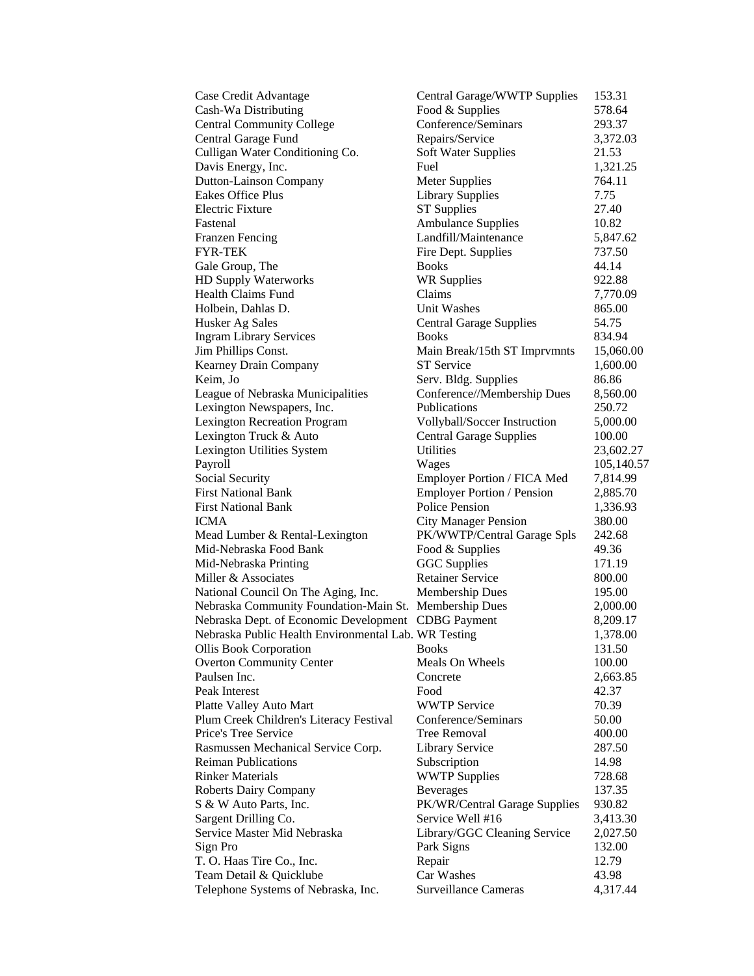| Case Credit Advantage                                  | Central Garage/WWTP Supplies   | 153.31     |
|--------------------------------------------------------|--------------------------------|------------|
| Cash-Wa Distributing                                   | Food & Supplies                | 578.64     |
| <b>Central Community College</b>                       | Conference/Seminars            | 293.37     |
| Central Garage Fund                                    | Repairs/Service                | 3,372.03   |
| Culligan Water Conditioning Co.                        | <b>Soft Water Supplies</b>     | 21.53      |
| Davis Energy, Inc.                                     | Fuel                           | 1,321.25   |
| <b>Dutton-Lainson Company</b>                          | <b>Meter Supplies</b>          | 764.11     |
| Eakes Office Plus                                      | <b>Library Supplies</b>        | 7.75       |
| <b>Electric Fixture</b>                                | <b>ST</b> Supplies             | 27.40      |
| Fastenal                                               | <b>Ambulance Supplies</b>      | 10.82      |
| <b>Franzen Fencing</b>                                 | Landfill/Maintenance           | 5,847.62   |
| FYR-TEK                                                | Fire Dept. Supplies            | 737.50     |
| Gale Group, The                                        | <b>Books</b>                   | 44.14      |
| HD Supply Waterworks                                   | <b>WR Supplies</b>             | 922.88     |
| <b>Health Claims Fund</b>                              | Claims                         | 7,770.09   |
| Holbein, Dahlas D.                                     | Unit Washes                    | 865.00     |
| Husker Ag Sales                                        | <b>Central Garage Supplies</b> | 54.75      |
| <b>Ingram Library Services</b>                         | <b>Books</b>                   | 834.94     |
| Jim Phillips Const.                                    | Main Break/15th ST Imprvmnts   | 15,060.00  |
| <b>Kearney Drain Company</b>                           | <b>ST</b> Service              | 1,600.00   |
| Keim, Jo                                               | Serv. Bldg. Supplies           | 86.86      |
| League of Nebraska Municipalities                      | Conference//Membership Dues    | 8,560.00   |
| Lexington Newspapers, Inc.                             | Publications                   | 250.72     |
| <b>Lexington Recreation Program</b>                    | Vollyball/Soccer Instruction   | 5,000.00   |
| Lexington Truck & Auto                                 | <b>Central Garage Supplies</b> | 100.00     |
| Lexington Utilities System                             | Utilities                      | 23,602.27  |
| Payroll                                                | Wages                          | 105,140.57 |
| <b>Social Security</b>                                 | Employer Portion / FICA Med    | 7,814.99   |
| <b>First National Bank</b>                             | Employer Portion / Pension     | 2,885.70   |
| <b>First National Bank</b>                             | <b>Police Pension</b>          | 1,336.93   |
| ICMA                                                   | <b>City Manager Pension</b>    | 380.00     |
| Mead Lumber & Rental-Lexington                         | PK/WWTP/Central Garage Spls    | 242.68     |
| Mid-Nebraska Food Bank                                 | Food & Supplies                | 49.36      |
| Mid-Nebraska Printing                                  | <b>GGC</b> Supplies            | 171.19     |
| Miller & Associates                                    | <b>Retainer Service</b>        | 800.00     |
| National Council On The Aging, Inc.                    | <b>Membership Dues</b>         | 195.00     |
| Nebraska Community Foundation-Main St. Membership Dues |                                | 2,000.00   |
| Nebraska Dept. of Economic Development                 | <b>CDBG</b> Payment            | 8,209.17   |
| Nebraska Public Health Environmental Lab. WR Testing   |                                | 1,378.00   |
| <b>Ollis Book Corporation</b>                          | <b>Books</b>                   | 131.50     |
| <b>Overton Community Center</b>                        | Meals On Wheels                | 100.00     |
| Paulsen Inc.                                           | Concrete                       | 2,663.85   |
| Peak Interest                                          | Food                           | 42.37      |
| Platte Valley Auto Mart                                | <b>WWTP Service</b>            | 70.39      |
| Plum Creek Children's Literacy Festival                | Conference/Seminars            | 50.00      |
| Price's Tree Service                                   | <b>Tree Removal</b>            | 400.00     |
| Rasmussen Mechanical Service Corp.                     | <b>Library Service</b>         | 287.50     |
| <b>Reiman Publications</b>                             | Subscription                   | 14.98      |
| <b>Rinker Materials</b>                                | <b>WWTP Supplies</b>           | 728.68     |
| <b>Roberts Dairy Company</b>                           | <b>Beverages</b>               | 137.35     |
| S & W Auto Parts, Inc.                                 | PK/WR/Central Garage Supplies  | 930.82     |
| Sargent Drilling Co.                                   | Service Well #16               | 3,413.30   |
| Service Master Mid Nebraska                            | Library/GGC Cleaning Service   | 2,027.50   |
| Sign Pro                                               | Park Signs                     | 132.00     |
| T. O. Haas Tire Co., Inc.                              | Repair                         | 12.79      |
| Team Detail & Quicklube                                | Car Washes                     | 43.98      |
| Telephone Systems of Nebraska, Inc.                    | <b>Surveillance Cameras</b>    | 4,317.44   |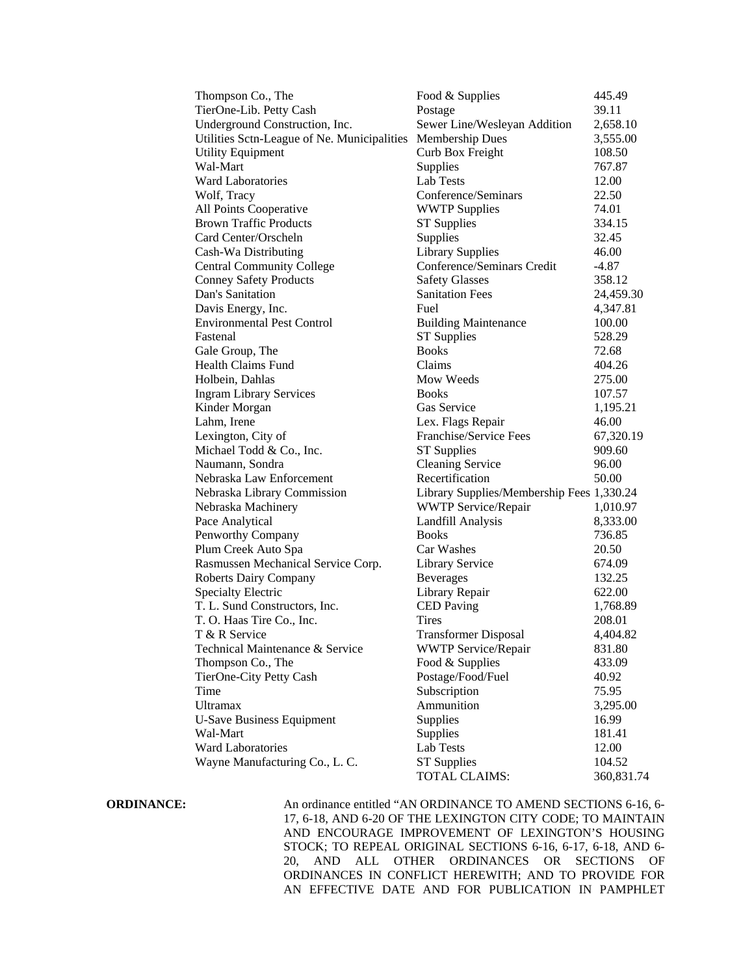| Thompson Co., The                                           | Food & Supplies                           | 445.49     |
|-------------------------------------------------------------|-------------------------------------------|------------|
| TierOne-Lib. Petty Cash                                     | Postage                                   | 39.11      |
| Underground Construction, Inc.                              | Sewer Line/Wesleyan Addition              | 2,658.10   |
| Utilities Sctn-League of Ne. Municipalities Membership Dues |                                           | 3,555.00   |
| <b>Utility Equipment</b>                                    | Curb Box Freight                          | 108.50     |
| Wal-Mart                                                    | Supplies                                  | 767.87     |
| <b>Ward Laboratories</b>                                    | Lab Tests                                 | 12.00      |
| Wolf, Tracy                                                 | Conference/Seminars                       | 22.50      |
| All Points Cooperative                                      | <b>WWTP Supplies</b>                      | 74.01      |
| <b>Brown Traffic Products</b>                               | <b>ST Supplies</b>                        | 334.15     |
| Card Center/Orscheln                                        | Supplies                                  | 32.45      |
| Cash-Wa Distributing                                        | <b>Library Supplies</b>                   | 46.00      |
| <b>Central Community College</b>                            | Conference/Seminars Credit                | $-4.87$    |
| <b>Conney Safety Products</b>                               | <b>Safety Glasses</b>                     | 358.12     |
| Dan's Sanitation                                            | <b>Sanitation Fees</b>                    | 24,459.30  |
| Davis Energy, Inc.                                          | Fuel                                      | 4,347.81   |
| <b>Environmental Pest Control</b>                           | <b>Building Maintenance</b>               | 100.00     |
| Fastenal                                                    | <b>ST Supplies</b>                        | 528.29     |
| Gale Group, The                                             | <b>Books</b>                              | 72.68      |
| <b>Health Claims Fund</b>                                   | Claims                                    | 404.26     |
| Holbein, Dahlas                                             | Mow Weeds                                 | 275.00     |
| <b>Ingram Library Services</b>                              | <b>Books</b>                              | 107.57     |
| Kinder Morgan                                               | Gas Service                               | 1,195.21   |
| Lahm, Irene                                                 | Lex. Flags Repair                         | 46.00      |
| Lexington, City of                                          | Franchise/Service Fees                    | 67,320.19  |
| Michael Todd & Co., Inc.                                    | <b>ST Supplies</b>                        | 909.60     |
| Naumann, Sondra                                             | <b>Cleaning Service</b>                   | 96.00      |
| Nebraska Law Enforcement                                    | Recertification                           | 50.00      |
| Nebraska Library Commission                                 | Library Supplies/Membership Fees 1,330.24 |            |
| Nebraska Machinery                                          | <b>WWTP Service/Repair</b>                | 1,010.97   |
| Pace Analytical                                             | Landfill Analysis                         | 8,333.00   |
| Penworthy Company                                           | <b>Books</b>                              | 736.85     |
| Plum Creek Auto Spa                                         | Car Washes                                | 20.50      |
| Rasmussen Mechanical Service Corp.                          | <b>Library Service</b>                    | 674.09     |
| <b>Roberts Dairy Company</b>                                | <b>Beverages</b>                          | 132.25     |
| <b>Specialty Electric</b>                                   | Library Repair                            | 622.00     |
| T. L. Sund Constructors, Inc.                               | <b>CED</b> Paving                         | 1,768.89   |
| T. O. Haas Tire Co., Inc.                                   | <b>Tires</b>                              | 208.01     |
| T & R Service                                               | <b>Transformer Disposal</b>               | 4,404.82   |
| Technical Maintenance & Service                             | <b>WWTP Service/Repair</b>                | 831.80     |
| Thompson Co., The                                           | Food & Supplies                           | 433.09     |
| TierOne-City Petty Cash                                     | Postage/Food/Fuel                         | 40.92      |
| Time                                                        | Subscription                              | 75.95      |
| Ultramax                                                    | Ammunition                                | 3,295.00   |
| <b>U-Save Business Equipment</b>                            | Supplies                                  | 16.99      |
| Wal-Mart                                                    | Supplies                                  | 181.41     |
| <b>Ward Laboratories</b>                                    | Lab Tests                                 | 12.00      |
| Wayne Manufacturing Co., L. C.                              | <b>ST</b> Supplies                        | 104.52     |
|                                                             | TOTAL CLAIMS:                             | 360,831.74 |

**ORDINANCE:** An ordinance entitled "AN ORDINANCE TO AMEND SECTIONS 6-16, 6-17, 6-18, AND 6-20 OF THE LEXINGTON CITY CODE; TO MAINTAIN AND ENCOURAGE IMPROVEMENT OF LEXINGTON'S HOUSING STOCK; TO REPEAL ORIGINAL SECTIONS 6-16, 6-17, 6-18, AND 6- 20, AND ALL OTHER ORDINANCES OR SECTIONS OF ORDINANCES IN CONFLICT HEREWITH; AND TO PROVIDE FOR AN EFFECTIVE DATE AND FOR PUBLICATION IN PAMPHLET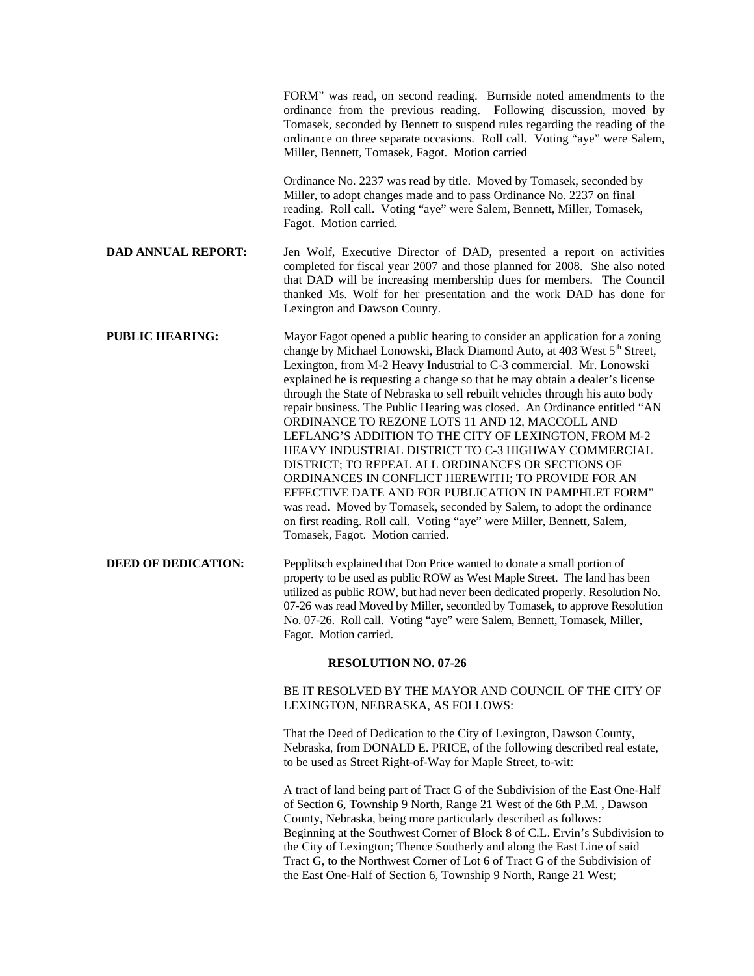|                            | FORM" was read, on second reading. Burnside noted amendments to the<br>ordinance from the previous reading. Following discussion, moved by<br>Tomasek, seconded by Bennett to suspend rules regarding the reading of the<br>ordinance on three separate occasions. Roll call. Voting "aye" were Salem,<br>Miller, Bennett, Tomasek, Fagot. Motion carried                                                                                                                                                                                                                                                                                                                                                                                                                                                                                                                                                                                                                                                           |  |
|----------------------------|---------------------------------------------------------------------------------------------------------------------------------------------------------------------------------------------------------------------------------------------------------------------------------------------------------------------------------------------------------------------------------------------------------------------------------------------------------------------------------------------------------------------------------------------------------------------------------------------------------------------------------------------------------------------------------------------------------------------------------------------------------------------------------------------------------------------------------------------------------------------------------------------------------------------------------------------------------------------------------------------------------------------|--|
|                            | Ordinance No. 2237 was read by title. Moved by Tomasek, seconded by<br>Miller, to adopt changes made and to pass Ordinance No. 2237 on final<br>reading. Roll call. Voting "aye" were Salem, Bennett, Miller, Tomasek,<br>Fagot. Motion carried.                                                                                                                                                                                                                                                                                                                                                                                                                                                                                                                                                                                                                                                                                                                                                                    |  |
| <b>DAD ANNUAL REPORT:</b>  | Jen Wolf, Executive Director of DAD, presented a report on activities<br>completed for fiscal year 2007 and those planned for 2008. She also noted<br>that DAD will be increasing membership dues for members. The Council<br>thanked Ms. Wolf for her presentation and the work DAD has done for<br>Lexington and Dawson County.                                                                                                                                                                                                                                                                                                                                                                                                                                                                                                                                                                                                                                                                                   |  |
| <b>PUBLIC HEARING:</b>     | Mayor Fagot opened a public hearing to consider an application for a zoning<br>change by Michael Lonowski, Black Diamond Auto, at 403 West 5 <sup>th</sup> Street,<br>Lexington, from M-2 Heavy Industrial to C-3 commercial. Mr. Lonowski<br>explained he is requesting a change so that he may obtain a dealer's license<br>through the State of Nebraska to sell rebuilt vehicles through his auto body<br>repair business. The Public Hearing was closed. An Ordinance entitled "AN<br>ORDINANCE TO REZONE LOTS 11 AND 12, MACCOLL AND<br>LEFLANG'S ADDITION TO THE CITY OF LEXINGTON, FROM M-2<br>HEAVY INDUSTRIAL DISTRICT TO C-3 HIGHWAY COMMERCIAL<br>DISTRICT; TO REPEAL ALL ORDINANCES OR SECTIONS OF<br>ORDINANCES IN CONFLICT HEREWITH; TO PROVIDE FOR AN<br>EFFECTIVE DATE AND FOR PUBLICATION IN PAMPHLET FORM"<br>was read. Moved by Tomasek, seconded by Salem, to adopt the ordinance<br>on first reading. Roll call. Voting "aye" were Miller, Bennett, Salem,<br>Tomasek, Fagot. Motion carried. |  |
| <b>DEED OF DEDICATION:</b> | Pepplitsch explained that Don Price wanted to donate a small portion of<br>property to be used as public ROW as West Maple Street. The land has been<br>utilized as public ROW, but had never been dedicated properly. Resolution No.<br>07-26 was read Moved by Miller, seconded by Tomasek, to approve Resolution<br>No. 07-26. Roll call. Voting "aye" were Salem, Bennett, Tomasek, Miller,<br>Fagot. Motion carried.                                                                                                                                                                                                                                                                                                                                                                                                                                                                                                                                                                                           |  |
| RESOLUTION NO. 07-26       |                                                                                                                                                                                                                                                                                                                                                                                                                                                                                                                                                                                                                                                                                                                                                                                                                                                                                                                                                                                                                     |  |
|                            | BE IT RESOLVED BY THE MAYOR AND COUNCIL OF THE CITY OF<br>LEXINGTON, NEBRASKA, AS FOLLOWS:                                                                                                                                                                                                                                                                                                                                                                                                                                                                                                                                                                                                                                                                                                                                                                                                                                                                                                                          |  |
|                            | That the Deed of Dedication to the City of Lexington, Dawson County,<br>Nebraska, from DONALD E. PRICE, of the following described real estate,<br>to be used as Street Right-of-Way for Maple Street, to-wit:                                                                                                                                                                                                                                                                                                                                                                                                                                                                                                                                                                                                                                                                                                                                                                                                      |  |
|                            | A tract of land being part of Tract G of the Subdivision of the East One-Half<br>of Section 6, Township 9 North, Range 21 West of the 6th P.M., Dawson<br>County, Nebraska, being more particularly described as follows:                                                                                                                                                                                                                                                                                                                                                                                                                                                                                                                                                                                                                                                                                                                                                                                           |  |

Beginning at the Southwest Corner of Block 8 of C.L. Ervin's Subdivision to the City of Lexington; Thence Southerly and along the East Line of said Tract G, to the Northwest Corner of Lot 6 of Tract G of the Subdivision of the East One-Half of Section 6, Township 9 North, Range 21 West;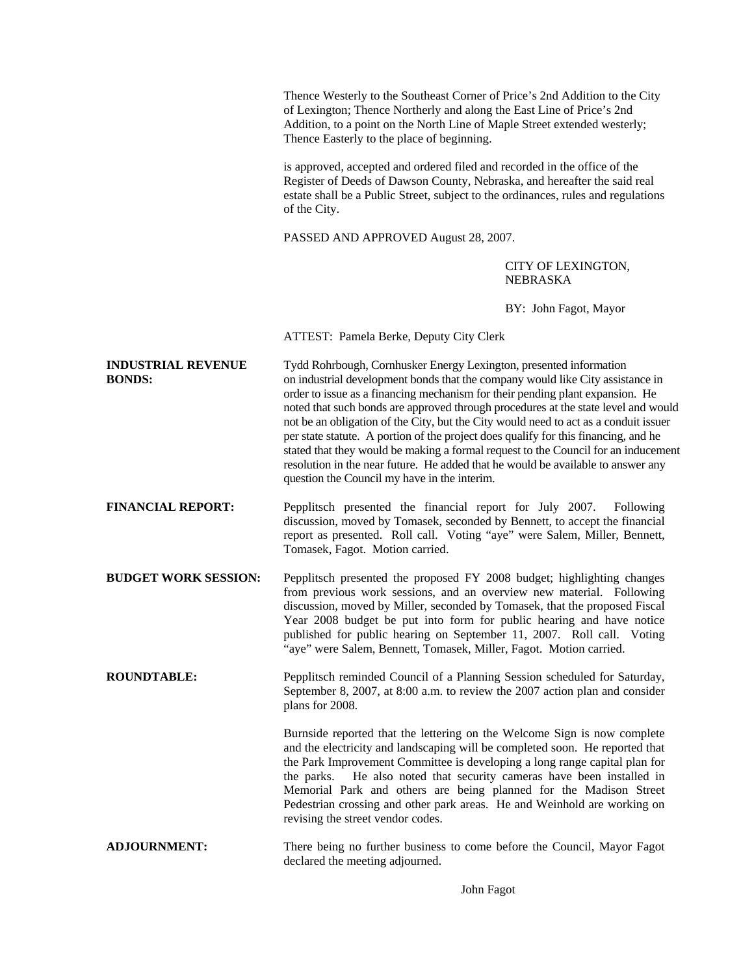Thence Westerly to the Southeast Corner of Price's 2nd Addition to the City of Lexington; Thence Northerly and along the East Line of Price's 2nd Addition, to a point on the North Line of Maple Street extended westerly; Thence Easterly to the place of beginning.

is approved, accepted and ordered filed and recorded in the office of the Register of Deeds of Dawson County, Nebraska, and hereafter the said real estate shall be a Public Street, subject to the ordinances, rules and regulations of the City.

PASSED AND APPROVED August 28, 2007.

## CITY OF LEXINGTON, NEBRASKA

BY: John Fagot, Mayor

ATTEST: Pamela Berke, Deputy City Clerk

**INDUSTRIAL REVENUE** Tydd Rohrbough, Cornhusker Energy Lexington, presented information **BONDS:** on industrial development bonds that the company would like City assistance in order to issue as a financing mechanism for their pending plant expansion. He noted that such bonds are approved through procedures at the state level and would not be an obligation of the City, but the City would need to act as a conduit issuer per state statute. A portion of the project does qualify for this financing, and he stated that they would be making a formal request to the Council for an inducement resolution in the near future. He added that he would be available to answer any question the Council my have in the interim.

**FINANCIAL REPORT:** Pepplitsch presented the financial report for July 2007. Following discussion, moved by Tomasek, seconded by Bennett, to accept the financial report as presented. Roll call. Voting "aye" were Salem, Miller, Bennett, Tomasek, Fagot. Motion carried.

**BUDGET WORK SESSION:** Pepplitsch presented the proposed FY 2008 budget; highlighting changes from previous work sessions, and an overview new material. Following discussion, moved by Miller, seconded by Tomasek, that the proposed Fiscal Year 2008 budget be put into form for public hearing and have notice published for public hearing on September 11, 2007. Roll call. Voting "aye" were Salem, Bennett, Tomasek, Miller, Fagot. Motion carried.

**ROUNDTABLE:** Pepplitsch reminded Council of a Planning Session scheduled for Saturday, September 8, 2007, at 8:00 a.m. to review the 2007 action plan and consider plans for 2008.

> Burnside reported that the lettering on the Welcome Sign is now complete and the electricity and landscaping will be completed soon. He reported that the Park Improvement Committee is developing a long range capital plan for the parks. He also noted that security cameras have been installed in Memorial Park and others are being planned for the Madison Street Pedestrian crossing and other park areas. He and Weinhold are working on revising the street vendor codes.

**ADJOURNMENT:** There being no further business to come before the Council, Mayor Fagot declared the meeting adjourned.